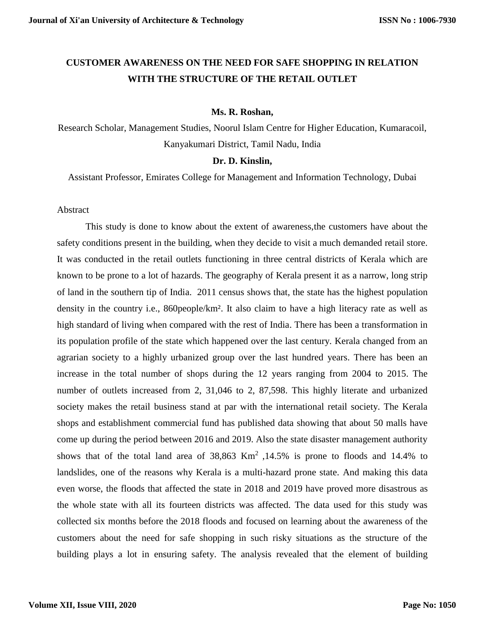# **CUSTOMER AWARENESS ON THE NEED FOR SAFE SHOPPING IN RELATION WITH THE STRUCTURE OF THE RETAIL OUTLET**

#### **Ms. R. Roshan,**

Research Scholar, Management Studies, Noorul Islam Centre for Higher Education, Kumaracoil, Kanyakumari District, Tamil Nadu, India

#### **Dr. D. Kinslin,**

Assistant Professor, Emirates College for Management and Information Technology, Dubai

#### Abstract

This study is done to know about the extent of awareness,the customers have about the safety conditions present in the building, when they decide to visit a much demanded retail store. It was conducted in the retail outlets functioning in three central districts of Kerala which are known to be prone to a lot of hazards. The geography of Kerala present it as a narrow, long strip of land in the southern tip of India. 2011 census shows that, the state has the highest population density in the country i.e., 860people/km². It also claim to have a high literacy rate as well as high standard of living when compared with the rest of India. There has been a transformation in its population profile of the state which happened over the last century. Kerala changed from an agrarian society to a highly urbanized group over the last hundred years. There has been an increase in the total number of shops during the 12 years ranging from 2004 to 2015. The number of outlets increased from 2, 31,046 to 2, 87,598. This highly literate and urbanized society makes the retail business stand at par with the international retail society. The Kerala shops and establishment commercial fund has published data showing that about 50 malls have come up during the period between 2016 and 2019. Also the state disaster management authority shows that of the total land area of  $38,863$  Km<sup>2</sup>, 14.5% is prone to floods and 14.4% to landslides, one of the reasons why Kerala is a multi-hazard prone state. And making this data even worse, the floods that affected the state in 2018 and 2019 have proved more disastrous as the whole state with all its fourteen districts was affected. The data used for this study was collected six months before the 2018 floods and focused on learning about the awareness of the customers about the need for safe shopping in such risky situations as the structure of the building plays a lot in ensuring safety. The analysis revealed that the element of building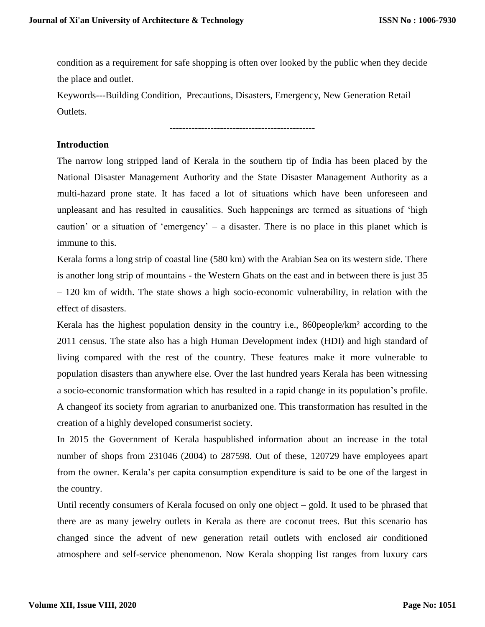condition as a requirement for safe shopping is often over looked by the public when they decide the place and outlet.

Keywords---Building Condition, Precautions, Disasters, Emergency, New Generation Retail Outlets.

----------------------------------------------

## **Introduction**

The narrow long stripped land of Kerala in the southern tip of India has been placed by the National Disaster Management Authority and the State Disaster Management Authority as a multi-hazard prone state. It has faced a lot of situations which have been unforeseen and unpleasant and has resulted in causalities. Such happenings are termed as situations of 'high caution' or a situation of 'emergency' – a disaster. There is no place in this planet which is immune to this.

Kerala forms a long strip of coastal line (580 km) with the Arabian Sea on its western side. There is another long strip of mountains - the Western Ghats on the east and in between there is just 35 – 120 km of width. The state shows a high socio-economic vulnerability, in relation with the effect of disasters.

Kerala has the highest population density in the country i.e., 860people/km² according to the 2011 census. The state also has a high Human Development index (HDI) and high standard of living compared with the rest of the country. These features make it more vulnerable to population disasters than anywhere else. Over the last hundred years Kerala has been witnessing a socio-economic transformation which has resulted in a rapid change in its population's profile. A changeof its society from agrarian to anurbanized one. This transformation has resulted in the creation of a highly developed consumerist society.

In 2015 the Government of Kerala haspublished information about an increase in the total number of shops from 231046 (2004) to 287598. Out of these, 120729 have employees apart from the owner. Kerala's per capita consumption expenditure is said to be one of the largest in the country.

Until recently consumers of Kerala focused on only one object – gold. It used to be phrased that there are as many jewelry outlets in Kerala as there are coconut trees. But this scenario has changed since the advent of new generation retail outlets with enclosed air conditioned atmosphere and self-service phenomenon. Now Kerala shopping list ranges from luxury cars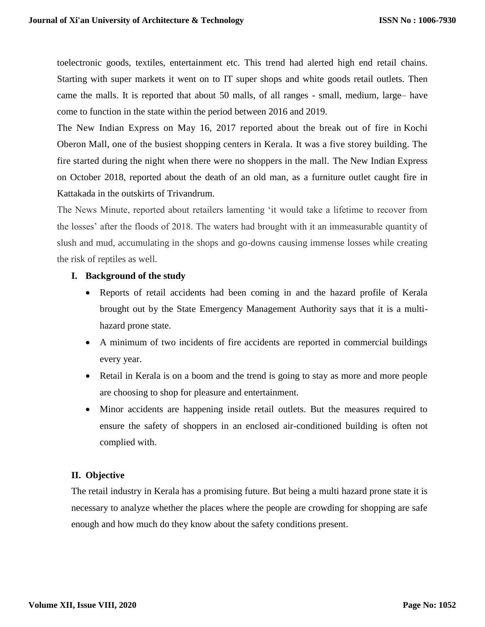toelectronic goods, textiles, entertainment etc. This trend had alerted high end retail chains. Starting with super markets it went on to IT super shops and white goods retail outlets. Then came the malls. It is reported that about 50 malls, of all ranges - small, medium, large– have come to function in the state within the period between 2016 and 2019.

The New Indian Express on May 16, 2017 reported about the break out of fire in Kochi Oberon Mall, one of the busiest shopping centers in Kerala. It was a five storey building. The fire started during the night when there were no shoppers in the mall. The New Indian Express on October 2018, reported about the death of an old man, as a furniture outlet caught fire in Kattakada in the outskirts of Trivandrum.

The News Minute, reported about retailers lamenting 'it would take a lifetime to recover from the losses' after the floods of 2018. The waters had brought with it an immeasurable quantity of slush and mud, accumulating in the shops and go-downs causing immense losses while creating the risk of reptiles as well.

## **I. Background of the study**

- Reports of retail accidents had been coming in and the hazard profile of Kerala brought out by the State Emergency Management Authority says that it is a multihazard prone state.
- A minimum of two incidents of fire accidents are reported in commercial buildings every year.
- Retail in Kerala is on a boom and the trend is going to stay as more and more people are choosing to shop for pleasure and entertainment.
- Minor accidents are happening inside retail outlets. But the measures required to ensure the safety of shoppers in an enclosed air-conditioned building is often not complied with.

# **II. Objective**

The retail industry in Kerala has a promising future. But being a multi hazard prone state it is necessary to analyze whether the places where the people are crowding for shopping are safe enough and how much do they know about the safety conditions present.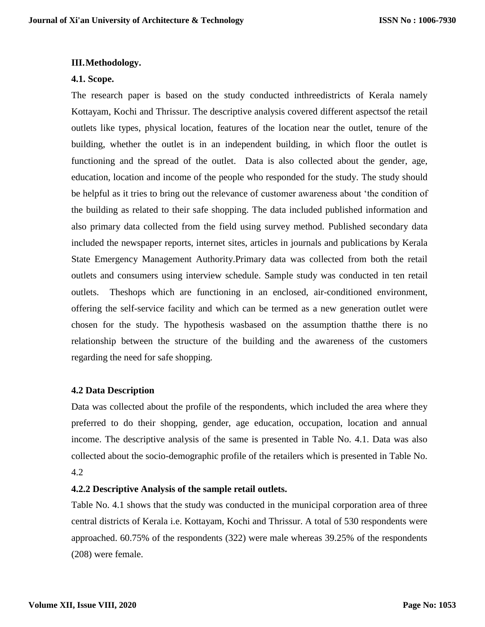#### **III.Methodology.**

#### **4.1. Scope.**

The research paper is based on the study conducted inthreedistricts of Kerala namely Kottayam, Kochi and Thrissur. The descriptive analysis covered different aspectsof the retail outlets like types, physical location, features of the location near the outlet, tenure of the building, whether the outlet is in an independent building, in which floor the outlet is functioning and the spread of the outlet. Data is also collected about the gender, age, education, location and income of the people who responded for the study. The study should be helpful as it tries to bring out the relevance of customer awareness about 'the condition of the building as related to their safe shopping. The data included published information and also primary data collected from the field using survey method. Published secondary data included the newspaper reports, internet sites, articles in journals and publications by Kerala State Emergency Management Authority.Primary data was collected from both the retail outlets and consumers using interview schedule. Sample study was conducted in ten retail outlets. Theshops which are functioning in an enclosed, air-conditioned environment, offering the self-service facility and which can be termed as a new generation outlet were chosen for the study. The hypothesis wasbased on the assumption thatthe there is no relationship between the structure of the building and the awareness of the customers regarding the need for safe shopping.

## **4.2 Data Description**

Data was collected about the profile of the respondents, which included the area where they preferred to do their shopping, gender, age education, occupation, location and annual income. The descriptive analysis of the same is presented in Table No. 4.1. Data was also collected about the socio-demographic profile of the retailers which is presented in Table No. 4.2

#### **4.2.2 Descriptive Analysis of the sample retail outlets.**

Table No. 4.1 shows that the study was conducted in the municipal corporation area of three central districts of Kerala i.e. Kottayam, Kochi and Thrissur. A total of 530 respondents were approached. 60.75% of the respondents (322) were male whereas 39.25% of the respondents (208) were female.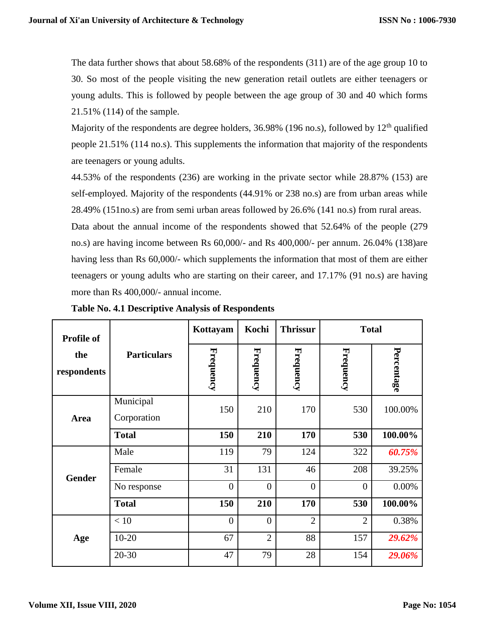The data further shows that about 58.68% of the respondents (311) are of the age group 10 to 30. So most of the people visiting the new generation retail outlets are either teenagers or young adults. This is followed by people between the age group of 30 and 40 which forms 21.51% (114) of the sample.

Majority of the respondents are degree holders, 36.98% (196 no.s), followed by 12<sup>th</sup> qualified people 21.51% (114 no.s). This supplements the information that majority of the respondents are teenagers or young adults.

44.53% of the respondents (236) are working in the private sector while 28.87% (153) are self-employed. Majority of the respondents (44.91% or 238 no.s) are from urban areas while 28.49% (151no.s) are from semi urban areas followed by 26.6% (141 no.s) from rural areas.

Data about the annual income of the respondents showed that 52.64% of the people (279 no.s) are having income between Rs 60,000/- and Rs 400,000/- per annum. 26.04% (138)are having less than Rs 60,000/- which supplements the information that most of them are either teenagers or young adults who are starting on their career, and 17.17% (91 no.s) are having more than Rs 400,000/- annual income.

| <b>Profile of</b>  |                          | Kottayam         | Kochi          | <b>Thrissur</b> | <b>Total</b>   |            |  |
|--------------------|--------------------------|------------------|----------------|-----------------|----------------|------------|--|
| the<br>respondents | <b>Particulars</b>       | <b>Frequency</b> | Frequency      | Frequency       | Frequency      | Percentage |  |
| <b>Area</b>        | Municipal<br>Corporation | 150              | 210            | 170             | 530            | 100.00%    |  |
|                    | <b>Total</b>             | 150              | 210            | 170             | 530            | 100.00%    |  |
|                    | Male                     | 119              | 79             | 124             | 322            | 60.75%     |  |
| <b>Gender</b>      | Female                   | 31               | 131            | 46              | 208            | 39.25%     |  |
|                    | No response              | $\overline{0}$   | $\overline{0}$ | $\overline{0}$  | $\theta$       | 0.00%      |  |
|                    | <b>Total</b>             | 150              | 210            | 170             | 530            | 100.00%    |  |
|                    | < 10                     | $\overline{0}$   | $\overline{0}$ | $\overline{2}$  | $\overline{2}$ | 0.38%      |  |
| Age                | $10-20$                  | 67               | $\overline{2}$ | 88              | 157            | 29.62%     |  |
|                    | $20 - 30$                | 47               | 79             | 28              | 154            | 29.06%     |  |

**Table No. 4.1 Descriptive Analysis of Respondents**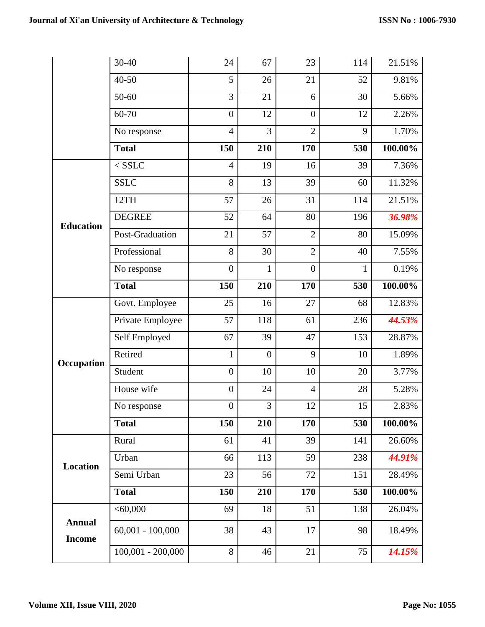|                                | 30-40               | 24               | 67           | 23               | 114 | 21.51%  |
|--------------------------------|---------------------|------------------|--------------|------------------|-----|---------|
|                                | 40-50               | 5                | 26           | 21               | 52  | 9.81%   |
|                                | 50-60               | $\overline{3}$   | 21           | 6                | 30  | 5.66%   |
|                                | 60-70               | $\overline{0}$   | 12           | $\boldsymbol{0}$ | 12  | 2.26%   |
|                                | No response         | $\overline{4}$   | 3            | $\overline{2}$   | 9   | 1.70%   |
|                                | <b>Total</b>        | 150              | 210          | 170              | 530 | 100.00% |
|                                | $<$ SSLC            | $\overline{4}$   | 19           | 16               | 39  | 7.36%   |
|                                | <b>SSLC</b>         | 8                | 13           | 39               | 60  | 11.32%  |
|                                | 12TH                | 57               | 26           | 31               | 114 | 21.51%  |
| <b>Education</b>               | <b>DEGREE</b>       | 52               | 64           | 80               | 196 | 36.98%  |
|                                | Post-Graduation     | 21               | 57           | $\overline{2}$   | 80  | 15.09%  |
|                                | Professional        | 8                | 30           | $\overline{2}$   | 40  | 7.55%   |
|                                | No response         | $\overline{0}$   | $\mathbf{1}$ | $\overline{0}$   | 1   | 0.19%   |
|                                | <b>Total</b>        | 150              | 210          | 170              | 530 | 100.00% |
|                                | Govt. Employee      | 25               | 16           | 27               | 68  | 12.83%  |
|                                | Private Employee    | 57               | 118          | 61               | 236 | 44.53%  |
|                                | Self Employed       | 67               | 39           | 47               | 153 | 28.87%  |
| Occupation                     | Retired             | $\mathbf{1}$     | $\mathbf{0}$ | 9                | 10  | 1.89%   |
|                                | Student             | $\boldsymbol{0}$ | 10           | 10               | 20  | 3.77%   |
|                                | House wife          | $\boldsymbol{0}$ | 24           | $\overline{4}$   | 28  | 5.28%   |
|                                | No response         | $\boldsymbol{0}$ | 3            | 12               | 15  | 2.83%   |
|                                | <b>Total</b>        | 150              | 210          | 170              | 530 | 100.00% |
|                                | Rural               | 61               | 41           | 39               | 141 | 26.60%  |
| Location                       | Urban               | 66               | 113          | 59               | 238 | 44.91%  |
|                                | Semi Urban          | 23               | 56           | 72               | 151 | 28.49%  |
|                                | <b>Total</b>        | 150              | 210          | 170              | 530 | 100.00% |
|                                | < 60,000            | 69               | 18           | 51               | 138 | 26.04%  |
| <b>Annual</b><br><b>Income</b> | $60,001 - 100,000$  | 38               | 43           | 17               | 98  | 18.49%  |
|                                | $100,001 - 200,000$ | 8                | 46           | 21               | 75  | 14.15%  |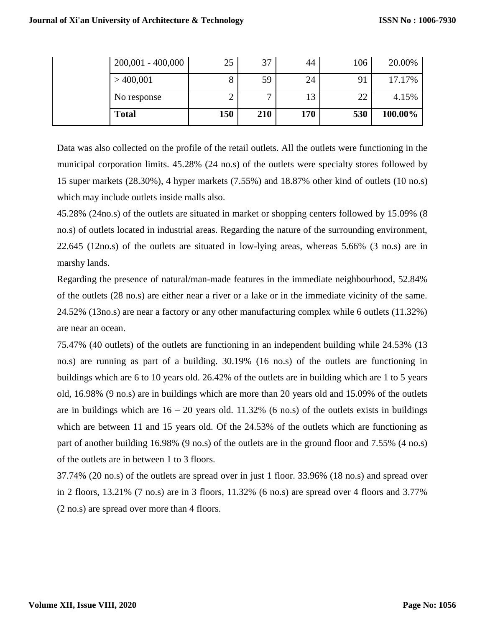| $200,001 - 400,000$ | 25  | 37           | 44  | 106 | 20.00%  |
|---------------------|-----|--------------|-----|-----|---------|
| >400,001            | O   | 59           | 24  | 91  | 17.17%  |
| No response         | ∠   | $\mathbf{r}$ | 13  | 22  | 4.15%   |
| <b>Total</b>        | 150 | 210          | 170 | 530 | 100.00% |

Data was also collected on the profile of the retail outlets. All the outlets were functioning in the municipal corporation limits. 45.28% (24 no.s) of the outlets were specialty stores followed by 15 super markets (28.30%), 4 hyper markets (7.55%) and 18.87% other kind of outlets (10 no.s) which may include outlets inside malls also.

45.28% (24no.s) of the outlets are situated in market or shopping centers followed by 15.09% (8 no.s) of outlets located in industrial areas. Regarding the nature of the surrounding environment, 22.645 (12no.s) of the outlets are situated in low-lying areas, whereas 5.66% (3 no.s) are in marshy lands.

Regarding the presence of natural/man-made features in the immediate neighbourhood, 52.84% of the outlets (28 no.s) are either near a river or a lake or in the immediate vicinity of the same. 24.52% (13no.s) are near a factory or any other manufacturing complex while 6 outlets (11.32%) are near an ocean.

75.47% (40 outlets) of the outlets are functioning in an independent building while 24.53% (13 no.s) are running as part of a building. 30.19% (16 no.s) of the outlets are functioning in buildings which are 6 to 10 years old. 26.42% of the outlets are in building which are 1 to 5 years old, 16.98% (9 no.s) are in buildings which are more than 20 years old and 15.09% of the outlets are in buildings which are  $16 - 20$  years old. 11.32% (6 no.s) of the outlets exists in buildings which are between 11 and 15 years old. Of the 24.53% of the outlets which are functioning as part of another building 16.98% (9 no.s) of the outlets are in the ground floor and 7.55% (4 no.s) of the outlets are in between 1 to 3 floors.

37.74% (20 no.s) of the outlets are spread over in just 1 floor. 33.96% (18 no.s) and spread over in 2 floors, 13.21% (7 no.s) are in 3 floors, 11.32% (6 no.s) are spread over 4 floors and 3.77% (2 no.s) are spread over more than 4 floors.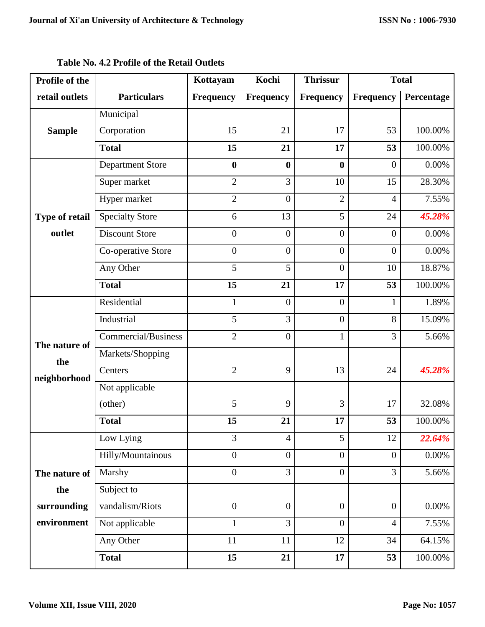| Profile of the        |                         | Kottayam         | Kochi            | <b>Thrissur</b>  | <b>Total</b>     |            |
|-----------------------|-------------------------|------------------|------------------|------------------|------------------|------------|
| retail outlets        | <b>Particulars</b>      | <b>Frequency</b> | Frequency        | Frequency        | Frequency        | Percentage |
|                       | Municipal               |                  |                  |                  |                  |            |
| <b>Sample</b>         | Corporation             | 15               | 21               | 17               | 53               | 100.00%    |
|                       | <b>Total</b>            | 15               | 21               | 17               | 53               | 100.00%    |
|                       | <b>Department Store</b> | $\bf{0}$         | $\boldsymbol{0}$ | $\bf{0}$         | $\overline{0}$   | $0.00\%$   |
|                       | Super market            | $\overline{2}$   | 3                | 10               | 15               | 28.30%     |
|                       | Hyper market            | $\overline{2}$   | $\boldsymbol{0}$ | $\overline{2}$   | $\overline{4}$   | 7.55%      |
| <b>Type of retail</b> | <b>Specialty Store</b>  | 6                | 13               | 5                | 24               | 45.28%     |
| outlet                | <b>Discount Store</b>   | $\overline{0}$   | $\boldsymbol{0}$ | $\overline{0}$   | $\boldsymbol{0}$ | $0.00\%$   |
|                       | Co-operative Store      | $\overline{0}$   | $\boldsymbol{0}$ | $\overline{0}$   | $\overline{0}$   | $0.00\%$   |
|                       | Any Other               | 5                | 5                | $\overline{0}$   | 10               | 18.87%     |
|                       | <b>Total</b>            | 15               | 21               | 17               | 53               | 100.00%    |
|                       | Residential             | $\mathbf{1}$     | $\boldsymbol{0}$ | $\overline{0}$   | $\mathbf{1}$     | 1.89%      |
|                       | Industrial              | 5                | 3                | $\overline{0}$   | 8                | 15.09%     |
| The nature of         | Commercial/Business     | $\overline{2}$   | $\boldsymbol{0}$ | $\mathbf{1}$     | 3                | 5.66%      |
| the                   | Markets/Shopping        |                  |                  |                  |                  |            |
| neighborhood          | Centers                 | $\overline{2}$   | 9                | 13               | 24               | 45.28%     |
|                       | Not applicable          |                  |                  |                  |                  |            |
|                       | (other)                 | 5                | 9                | 3                | 17               | 32.08%     |
|                       | <b>Total</b>            | 15               | 21               | 17               | 53               | 100.00%    |
|                       | Low Lying               | 3                | $\overline{4}$   | 5                | 12               | 22.64%     |
|                       | Hilly/Mountainous       | $\overline{0}$   | $\boldsymbol{0}$ | $\overline{0}$   | $\boldsymbol{0}$ | $0.00\%$   |
| The nature of         | Marshy                  | $\overline{0}$   | $\overline{3}$   | $\overline{0}$   | $\overline{3}$   | 5.66%      |
| the                   | Subject to              |                  |                  |                  |                  |            |
| surrounding           | vandalism/Riots         | $\boldsymbol{0}$ | $\boldsymbol{0}$ | $\boldsymbol{0}$ | $\boldsymbol{0}$ | $0.00\%$   |
| environment           | Not applicable          | $\mathbf{1}$     | 3                | $\overline{0}$   | $\overline{4}$   | 7.55%      |
|                       | Any Other               | 11               | 11               | 12               | 34               | 64.15%     |
|                       | <b>Total</b>            | 15               | 21               | 17               | 53               | 100.00%    |

**Table No. 4.2 Profile of the Retail Outlets**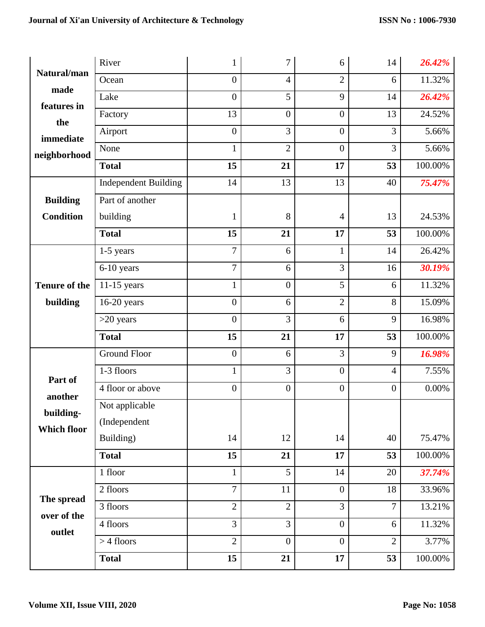|                      | River                       |                | 7                | 6                | 14               | 26.42%   |
|----------------------|-----------------------------|----------------|------------------|------------------|------------------|----------|
| Natural/man          | Ocean                       | $\overline{0}$ | $\overline{4}$   | $\overline{2}$   | 6                | 11.32%   |
| made                 | Lake                        | $\mathbf{0}$   | 5                | 9                | 14               | 26.42%   |
| features in<br>the   | Factory                     | 13             | $\boldsymbol{0}$ | $\boldsymbol{0}$ | 13               | 24.52%   |
| immediate            | Airport                     | $\mathbf{0}$   | 3                | $\mathbf{0}$     | 3                | 5.66%    |
| neighborhood         | None                        | $\mathbf{1}$   | $\overline{2}$   | $\mathbf{0}$     | $\overline{3}$   | 5.66%    |
|                      | <b>Total</b>                | 15             | 21               | 17               | 53               | 100.00%  |
|                      | <b>Independent Building</b> | 14             | 13               | 13               | 40               | 75.47%   |
| <b>Building</b>      | Part of another             |                |                  |                  |                  |          |
| <b>Condition</b>     | building                    | $\mathbf{1}$   | 8                | $\overline{4}$   | 13               | 24.53%   |
|                      | <b>Total</b>                | 15             | 21               | 17               | 53               | 100.00%  |
|                      | $1-5$ years                 | $\overline{7}$ | 6                | $\mathbf{1}$     | 14               | 26.42%   |
|                      | 6-10 years                  | $\overline{7}$ | 6                | 3                | 16               | 30.19%   |
| <b>Tenure of the</b> | $11-15$ years               | $\mathbf{1}$   | $\boldsymbol{0}$ | 5                | 6                | 11.32%   |
| building             | $16-20$ years               | $\mathbf{0}$   | 6                | $\overline{2}$   | 8                | 15.09%   |
|                      | $>20$ years                 | $\mathbf{0}$   | 3                | 6                | 9                | 16.98%   |
|                      |                             |                |                  |                  |                  |          |
|                      | <b>Total</b>                | 15             | 21               | 17               | 53               | 100.00%  |
|                      | <b>Ground Floor</b>         | $\overline{0}$ | 6                | 3                | 9                | 16.98%   |
|                      | 1-3 floors                  | $\mathbf{1}$   | $\overline{3}$   | $\mathbf{0}$     | $\overline{4}$   | 7.55%    |
| Part of              | 4 floor or above            | $\mathbf{0}$   | $\boldsymbol{0}$ | $\mathbf{0}$     | $\boldsymbol{0}$ | $0.00\%$ |
| another              | Not applicable              |                |                  |                  |                  |          |
| building-            | (Independent                |                |                  |                  |                  |          |
| <b>Which floor</b>   | Building)                   | 14             | 12               | 14               | 40               | 75.47%   |
|                      | <b>Total</b>                | 15             | 21               | 17               | 53               | 100.00%  |
|                      | 1 floor                     | $\mathbf{1}$   | 5                | 14               | $20\,$           | 37.74%   |
|                      | 2 floors                    | $\overline{7}$ | 11               | $\mathbf{0}$     | 18               | 33.96%   |
| The spread           | 3 floors                    | $\overline{2}$ | $\overline{2}$   | 3                | $\overline{7}$   | 13.21%   |
| over of the          | 4 floors                    | 3              | 3                | $\mathbf{0}$     | 6                | 11.32%   |
| outlet               | $>$ 4 floors                | $\overline{2}$ | $\boldsymbol{0}$ | $\mathbf{0}$     | $\overline{2}$   | 3.77%    |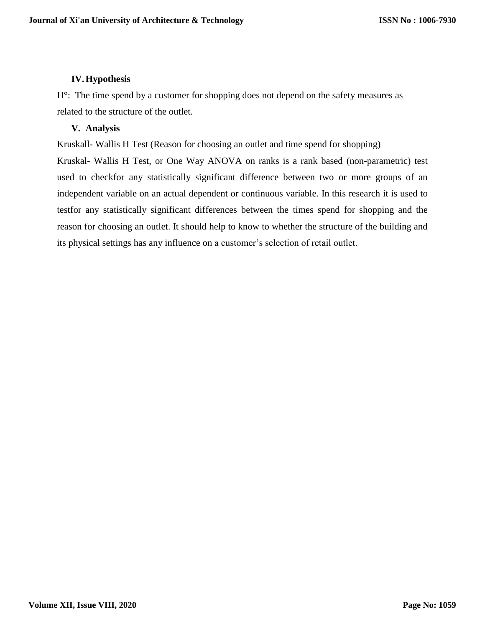# **IV.Hypothesis**

H°: The time spend by a customer for shopping does not depend on the safety measures as related to the structure of the outlet.

## **V. Analysis**

Kruskall- Wallis H Test (Reason for choosing an outlet and time spend for shopping)

Kruskal- Wallis H Test, or One Way ANOVA on ranks is a rank based (non-parametric) test used to checkfor any statistically significant difference between two or more groups of an independent variable on an actual dependent or continuous variable. In this research it is used to testfor any statistically significant differences between the times spend for shopping and the reason for choosing an outlet. It should help to know to whether the structure of the building and its physical settings has any influence on a customer's selection of retail outlet.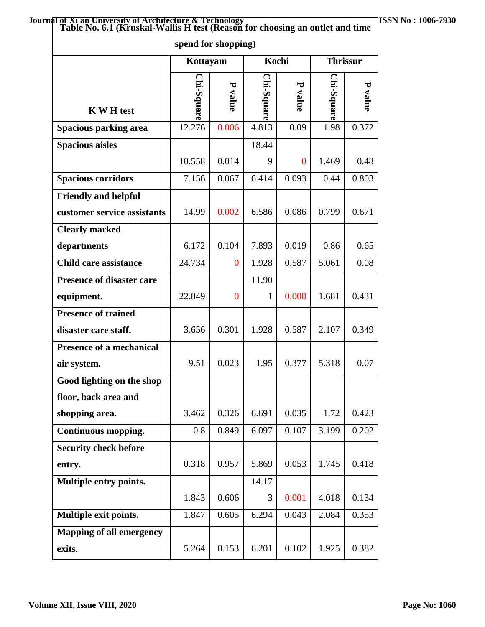|                                                    | spend for shopping) |                |            |            |            |                 |  |
|----------------------------------------------------|---------------------|----------------|------------|------------|------------|-----------------|--|
|                                                    | Kottayam            |                |            | Kochi      |            | <b>Thrissur</b> |  |
| <b>K W H test</b>                                  | Chi-Square          | P<br>value     | Chi-Square | P<br>value | Chi-Square | P value         |  |
| Spacious parking area                              | 12.276              | 0.006          | 4.813      | 0.09       | 1.98       | 0.372           |  |
| <b>Spacious aisles</b>                             |                     |                | 18.44      |            |            |                 |  |
|                                                    | 10.558              | 0.014          | 9          | $\bf{0}$   | 1.469      | 0.48            |  |
| <b>Spacious corridors</b>                          | 7.156               | 0.067          | 6.414      | 0.093      | 0.44       | 0.803           |  |
| <b>Friendly and helpful</b>                        |                     |                |            |            |            |                 |  |
| customer service assistants                        | 14.99               | 0.002          | 6.586      | 0.086      | 0.799      | 0.671           |  |
| <b>Clearly marked</b>                              |                     |                |            |            |            |                 |  |
| departments                                        | 6.172               | 0.104          | 7.893      | 0.019      | 0.86       | 0.65            |  |
| <b>Child care assistance</b>                       | 24.734              | $\overline{0}$ | 1.928      | 0.587      | 5.061      | 0.08            |  |
| <b>Presence of disaster care</b>                   |                     |                | 11.90      |            |            |                 |  |
| equipment.                                         | 22.849              | $\overline{0}$ | 1          | 0.008      | 1.681      | 0.431           |  |
| <b>Presence of trained</b><br>disaster care staff. | 3.656               | 0.301          | 1.928      | 0.587      | 2.107      | 0.349           |  |
| <b>Presence of a mechanical</b><br>air system.     | 9.51                | 0.023          | 1.95       | 0.377      | 5.318      | 0.07            |  |
| Good lighting on the shop                          |                     |                |            |            |            |                 |  |
| floor, back area and<br>shopping area.             | 3.462               | 0.326          | 6.691      | 0.035      | 1.72       | 0.423           |  |
| Continuous mopping.                                | 0.8                 | 0.849          | 6.097      | 0.107      | 3.199      | 0.202           |  |
| <b>Security check before</b>                       |                     |                |            |            |            |                 |  |
| entry.                                             | 0.318               | 0.957          | 5.869      | 0.053      | 1.745      | 0.418           |  |
| Multiple entry points.                             |                     |                | 14.17      |            |            |                 |  |
|                                                    | 1.843               | 0.606          | 3          | 0.001      | 4.018      | 0.134           |  |
| Multiple exit points.                              | 1.847               | 0.605          | 6.294      | 0.043      | 2.084      | 0.353           |  |
| <b>Mapping of all emergency</b>                    |                     |                |            |            |            |                 |  |
| exits.                                             | 5.264               | 0.153          | 6.201      | 0.102      | 1.925      | 0.382           |  |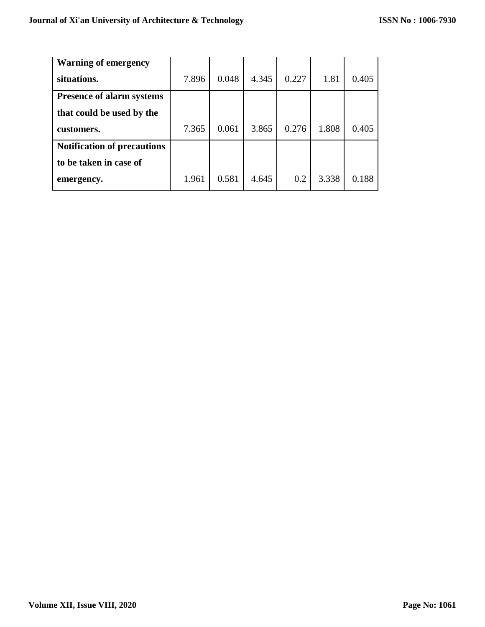| <b>Warning of emergency</b>        |       |       |       |       |       |       |
|------------------------------------|-------|-------|-------|-------|-------|-------|
| situations.                        | 7.896 | 0.048 | 4.345 | 0.227 | 1.81  | 0.405 |
| <b>Presence of alarm systems</b>   |       |       |       |       |       |       |
| that could be used by the          |       |       |       |       |       |       |
| customers.                         | 7.365 | 0.061 | 3.865 | 0.276 | 1.808 | 0.405 |
| <b>Notification of precautions</b> |       |       |       |       |       |       |
| to be taken in case of             |       |       |       |       |       |       |
| emergency.                         | 1.961 | 0.581 | 4.645 | 0.2   | 3.338 | 0.188 |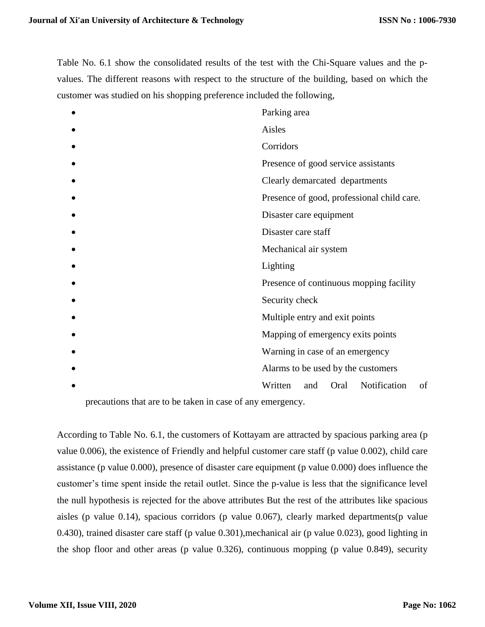Table No. 6.1 show the consolidated results of the test with the Chi-Square values and the pvalues. The different reasons with respect to the structure of the building, based on which the customer was studied on his shopping preference included the following,

| Parking area                                 |  |  |  |  |  |  |
|----------------------------------------------|--|--|--|--|--|--|
| Aisles                                       |  |  |  |  |  |  |
| Corridors                                    |  |  |  |  |  |  |
| Presence of good service assistants          |  |  |  |  |  |  |
| Clearly demarcated departments               |  |  |  |  |  |  |
| Presence of good, professional child care.   |  |  |  |  |  |  |
| Disaster care equipment                      |  |  |  |  |  |  |
| Disaster care staff                          |  |  |  |  |  |  |
| Mechanical air system                        |  |  |  |  |  |  |
| Lighting                                     |  |  |  |  |  |  |
| Presence of continuous mopping facility      |  |  |  |  |  |  |
| Security check                               |  |  |  |  |  |  |
| Multiple entry and exit points               |  |  |  |  |  |  |
| Mapping of emergency exits points            |  |  |  |  |  |  |
| Warning in case of an emergency              |  |  |  |  |  |  |
| Alarms to be used by the customers           |  |  |  |  |  |  |
| Written<br>Notification<br>of<br>Oral<br>and |  |  |  |  |  |  |

precautions that are to be taken in case of any emergency.

According to Table No. 6.1, the customers of Kottayam are attracted by spacious parking area (p value 0.006), the existence of Friendly and helpful customer care staff (p value 0.002), child care assistance (p value 0.000), presence of disaster care equipment (p value 0.000) does influence the customer's time spent inside the retail outlet. Since the p-value is less that the significance level the null hypothesis is rejected for the above attributes But the rest of the attributes like spacious aisles (p value 0.14), spacious corridors (p value 0.067), clearly marked departments(p value 0.430), trained disaster care staff (p value 0.301),mechanical air (p value 0.023), good lighting in the shop floor and other areas (p value 0.326), continuous mopping (p value 0.849), security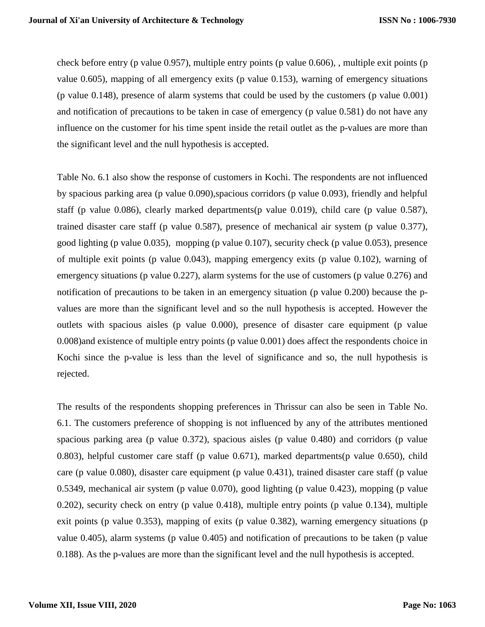check before entry (p value 0.957), multiple entry points (p value 0.606), , multiple exit points (p value 0.605), mapping of all emergency exits (p value 0.153), warning of emergency situations (p value 0.148), presence of alarm systems that could be used by the customers (p value 0.001) and notification of precautions to be taken in case of emergency (p value 0.581) do not have any influence on the customer for his time spent inside the retail outlet as the p-values are more than the significant level and the null hypothesis is accepted.

Table No. 6.1 also show the response of customers in Kochi. The respondents are not influenced by spacious parking area (p value 0.090),spacious corridors (p value 0.093), friendly and helpful staff (p value 0.086), clearly marked departments(p value 0.019), child care (p value 0.587), trained disaster care staff (p value 0.587), presence of mechanical air system (p value 0.377), good lighting (p value 0.035), mopping (p value 0.107), security check (p value 0.053), presence of multiple exit points (p value 0.043), mapping emergency exits (p value 0.102), warning of emergency situations (p value 0.227), alarm systems for the use of customers (p value 0.276) and notification of precautions to be taken in an emergency situation (p value 0.200) because the pvalues are more than the significant level and so the null hypothesis is accepted. However the outlets with spacious aisles (p value 0.000), presence of disaster care equipment (p value 0.008)and existence of multiple entry points (p value 0.001) does affect the respondents choice in Kochi since the p-value is less than the level of significance and so, the null hypothesis is rejected.

The results of the respondents shopping preferences in Thrissur can also be seen in Table No. 6.1. The customers preference of shopping is not influenced by any of the attributes mentioned spacious parking area (p value 0.372), spacious aisles (p value 0.480) and corridors (p value 0.803), helpful customer care staff (p value 0.671), marked departments(p value 0.650), child care (p value 0.080), disaster care equipment (p value 0.431), trained disaster care staff (p value 0.5349, mechanical air system (p value 0.070), good lighting (p value 0.423), mopping (p value 0.202), security check on entry (p value 0.418), multiple entry points (p value 0.134), multiple exit points (p value 0.353), mapping of exits (p value 0.382), warning emergency situations (p value 0.405), alarm systems (p value 0.405) and notification of precautions to be taken (p value 0.188). As the p-values are more than the significant level and the null hypothesis is accepted.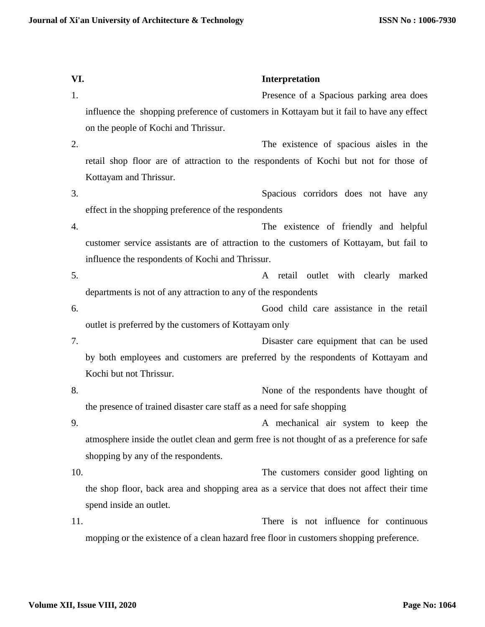| VI. | Interpretation                                                                              |
|-----|---------------------------------------------------------------------------------------------|
| 1.  | Presence of a Spacious parking area does                                                    |
|     | influence the shopping preference of customers in Kottayam but it fail to have any effect   |
|     | on the people of Kochi and Thrissur.                                                        |
| 2.  | The existence of spacious aisles in the                                                     |
|     | retail shop floor are of attraction to the respondents of Kochi but not for those of        |
|     | Kottayam and Thrissur.                                                                      |
| 3.  | Spacious corridors does not have any                                                        |
|     | effect in the shopping preference of the respondents                                        |
| 4.  | The existence of friendly and helpful                                                       |
|     | customer service assistants are of attraction to the customers of Kottayam, but fail to     |
|     | influence the respondents of Kochi and Thrissur.                                            |
| 5.  | retail outlet with clearly marked<br>A                                                      |
|     | departments is not of any attraction to any of the respondents                              |
| 6.  | Good child care assistance in the retail                                                    |
|     | outlet is preferred by the customers of Kottayam only                                       |
| 7.  | Disaster care equipment that can be used                                                    |
|     | by both employees and customers are preferred by the respondents of Kottayam and            |
|     | Kochi but not Thrissur.                                                                     |
| 8.  | None of the respondents have thought of                                                     |
|     | the presence of trained disaster care staff as a need for safe shopping                     |
| 9.  | A mechanical air system to keep the                                                         |
|     | atmosphere inside the outlet clean and germ free is not thought of as a preference for safe |
|     | shopping by any of the respondents.                                                         |
| 10. | The customers consider good lighting on                                                     |
|     | the shop floor, back area and shopping area as a service that does not affect their time    |
|     | spend inside an outlet.                                                                     |
| 11. | There is not influence for continuous                                                       |
|     | mopping or the existence of a clean hazard free floor in customers shopping preference.     |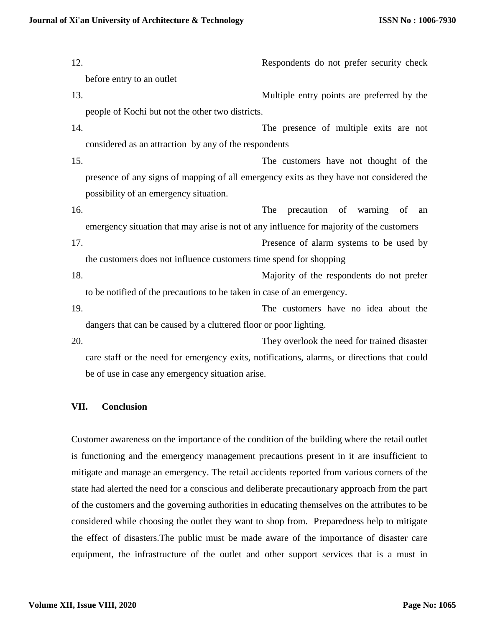12. Respondents do not prefer security check before entry to an outlet 13. Multiple entry points are preferred by the people of Kochi but not the other two districts. 14. The presence of multiple exits are not considered as an attraction by any of the respondents 15. The customers have not thought of the presence of any signs of mapping of all emergency exits as they have not considered the possibility of an emergency situation. 16. The precaution of warning of an emergency situation that may arise is not of any influence for majority of the customers 17. Presence of alarm systems to be used by the customers does not influence customers time spend for shopping 18. Majority of the respondents do not prefer to be notified of the precautions to be taken in case of an emergency. 19. The customers have no idea about the dangers that can be caused by a cluttered floor or poor lighting. 20. They overlook the need for trained disaster care staff or the need for emergency exits, notifications, alarms, or directions that could be of use in case any emergency situation arise.

# **VII. Conclusion**

Customer awareness on the importance of the condition of the building where the retail outlet is functioning and the emergency management precautions present in it are insufficient to mitigate and manage an emergency. The retail accidents reported from various corners of the state had alerted the need for a conscious and deliberate precautionary approach from the part of the customers and the governing authorities in educating themselves on the attributes to be considered while choosing the outlet they want to shop from. Preparedness help to mitigate the effect of disasters.The public must be made aware of the importance of disaster care equipment, the infrastructure of the outlet and other support services that is a must in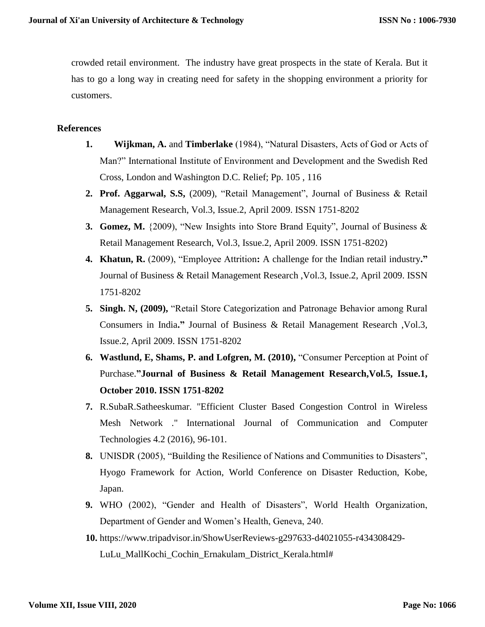crowded retail environment. The industry have great prospects in the state of Kerala. But it has to go a long way in creating need for safety in the shopping environment a priority for customers.

## **References**

- **1. Wijkman, A.** and **Timberlake** (1984), "Natural Disasters, Acts of God or Acts of Man?" International Institute of Environment and Development and the Swedish Red Cross, London and Washington D.C. Relief; Pp. 105 , 116
- **2. Prof. Aggarwal, S.S,** (2009), "Retail Management", Journal of Business & Retail Management Research, Vol.3, Issue.2, April 2009. ISSN 1751-8202
- **3. Gomez, M.** {2009), "New Insights into Store Brand Equity", Journal of Business & Retail Management Research, Vol.3, Issue.2, April 2009. ISSN 1751-8202)
- **4. Khatun, R.** (2009), "Employee Attrition**:** A challenge for the Indian retail industry**."**  Journal of Business & Retail Management Research ,Vol.3, Issue.2, April 2009. ISSN 1751-8202
- **5. Singh. N, (2009),** "Retail Store Categorization and Patronage Behavior among Rural Consumers in India**."** Journal of Business & Retail Management Research ,Vol.3, Issue.2, April 2009. ISSN 1751-8202
- **6. Wastlund, E, Shams, P. and Lofgren, M. (2010),** "Consumer Perception at Point of Purchase.**"Journal of Business & Retail Management Research,Vol.5, Issue.1, October 2010. ISSN 1751-8202**
- **7.** R.SubaR.Satheeskumar. "Efficient Cluster Based Congestion Control in Wireless Mesh Network ." International Journal of Communication and Computer Technologies 4.2 (2016), 96-101.
- **8.** UNISDR (2005), "Building the Resilience of Nations and Communities to Disasters", Hyogo Framework for Action, World Conference on Disaster Reduction, Kobe, Japan.
- **9.** WHO (2002), "Gender and Health of Disasters", World Health Organization, Department of Gender and Women's Health, Geneva, 240.
- **10.** https://www.tripadvisor.in/ShowUserReviews-g297633-d4021055-r434308429- LuLu\_MallKochi\_Cochin\_Ernakulam\_District\_Kerala.html#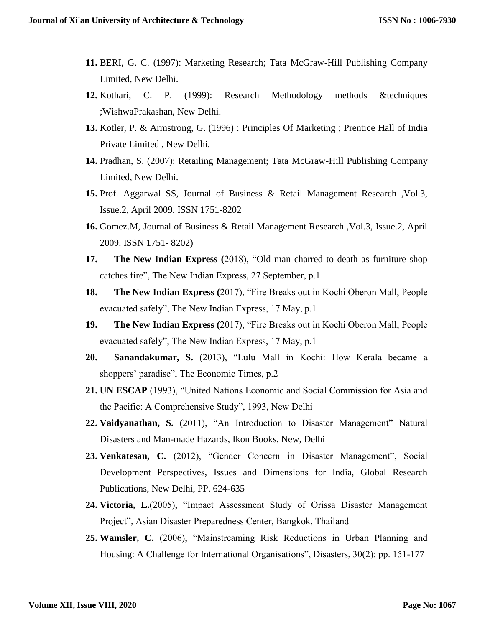- **11.** BERI, G. C. (1997): Marketing Research; Tata McGraw-Hill Publishing Company Limited, New Delhi.
- **12.** Kothari, C. P. (1999): Research Methodology methods &techniques ;WishwaPrakashan, New Delhi.
- **13.** Kotler, P. & Armstrong, G. (1996) : Principles Of Marketing ; Prentice Hall of India Private Limited , New Delhi.
- **14.** Pradhan, S. (2007): Retailing Management; Tata McGraw-Hill Publishing Company Limited, New Delhi.
- **15.** Prof. Aggarwal SS, Journal of Business & Retail Management Research ,Vol.3, Issue.2, April 2009. ISSN 1751-8202
- **16.** Gomez.M, Journal of Business & Retail Management Research ,Vol.3, Issue.2, April 2009. ISSN 1751- 8202)
- **17. The New Indian Express (**2018), "Old man charred to death as furniture shop catches fire", The New Indian Express, 27 September, p.1
- **18. The New Indian Express (**2017), "Fire Breaks out in Kochi Oberon Mall, People evacuated safely", The New Indian Express, 17 May, p.1
- **19. The New Indian Express (**2017), "Fire Breaks out in Kochi Oberon Mall, People evacuated safely", The New Indian Express, 17 May, p.1
- **20. Sanandakumar, S.** (2013), "Lulu Mall in Kochi: How Kerala became a shoppers' paradise", The Economic Times, p.2
- **21. UN ESCAP** (1993), "United Nations Economic and Social Commission for Asia and the Pacific: A Comprehensive Study", 1993, New Delhi
- **22. Vaidyanathan, S.** (2011), "An Introduction to Disaster Management" Natural Disasters and Man-made Hazards, Ikon Books, New, Delhi
- **23. Venkatesan, C.** (2012), "Gender Concern in Disaster Management", Social Development Perspectives, Issues and Dimensions for India, Global Research Publications, New Delhi, PP. 624-635
- **24. Victoria, L.**(2005), "Impact Assessment Study of Orissa Disaster Management Project", Asian Disaster Preparedness Center, Bangkok, Thailand
- **25. Wamsler, C.** (2006), "Mainstreaming Risk Reductions in Urban Planning and Housing: A Challenge for International Organisations", Disasters, 30(2): pp. 151-177